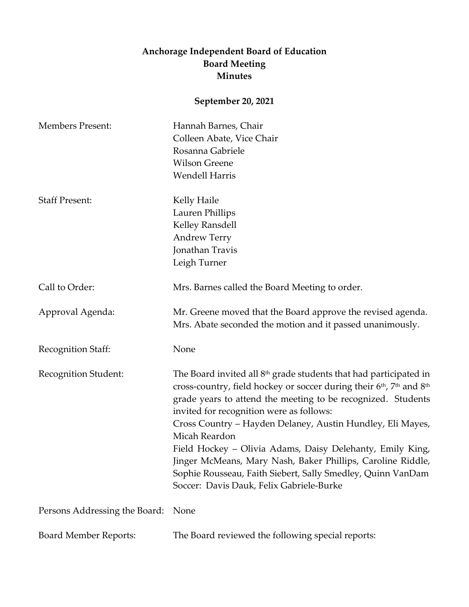## **Anchorage Independent Board of Education Board Meeting Minutes**

**September 20, 2021**

| <b>Members Present:</b>       | Hannah Barnes, Chair<br>Colleen Abate, Vice Chair<br>Rosanna Gabriele<br><b>Wilson Greene</b><br><b>Wendell Harris</b>                                                                                                                                                                                                                                                                                                                                                                                                                                                                                            |
|-------------------------------|-------------------------------------------------------------------------------------------------------------------------------------------------------------------------------------------------------------------------------------------------------------------------------------------------------------------------------------------------------------------------------------------------------------------------------------------------------------------------------------------------------------------------------------------------------------------------------------------------------------------|
| <b>Staff Present:</b>         | Kelly Haile<br>Lauren Phillips<br>Kelley Ransdell<br><b>Andrew Terry</b><br>Jonathan Travis<br>Leigh Turner                                                                                                                                                                                                                                                                                                                                                                                                                                                                                                       |
| Call to Order:                | Mrs. Barnes called the Board Meeting to order.                                                                                                                                                                                                                                                                                                                                                                                                                                                                                                                                                                    |
| Approval Agenda:              | Mr. Greene moved that the Board approve the revised agenda.<br>Mrs. Abate seconded the motion and it passed unanimously.                                                                                                                                                                                                                                                                                                                                                                                                                                                                                          |
| Recognition Staff:            | None                                                                                                                                                                                                                                                                                                                                                                                                                                                                                                                                                                                                              |
| Recognition Student:          | The Board invited all $8th$ grade students that had participated in<br>cross-country, field hockey or soccer during their 6 <sup>th</sup> , 7 <sup>th</sup> and 8 <sup>th</sup><br>grade years to attend the meeting to be recognized. Students<br>invited for recognition were as follows:<br>Cross Country – Hayden Delaney, Austin Hundley, Eli Mayes,<br>Micah Reardon<br>Field Hockey - Olivia Adams, Daisy Delehanty, Emily King,<br>Jinger McMeans, Mary Nash, Baker Phillips, Caroline Riddle,<br>Sophie Rousseau, Faith Siebert, Sally Smedley, Quinn VanDam<br>Soccer: Davis Dauk, Felix Gabriele-Burke |
| Persons Addressing the Board: | None                                                                                                                                                                                                                                                                                                                                                                                                                                                                                                                                                                                                              |
| <b>Board Member Reports:</b>  | The Board reviewed the following special reports:                                                                                                                                                                                                                                                                                                                                                                                                                                                                                                                                                                 |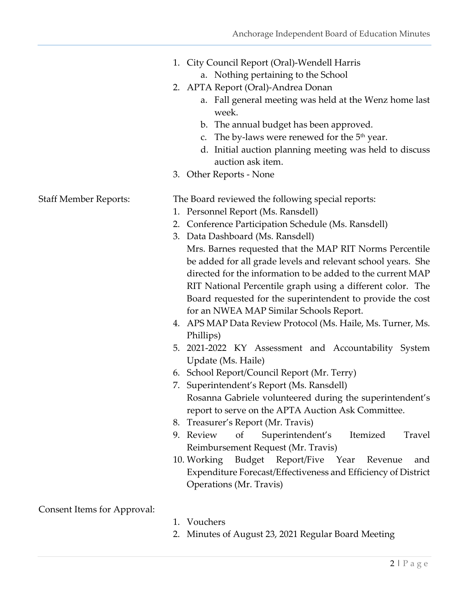- 1. City Council Report (Oral)-Wendell Harris a. Nothing pertaining to the School
- 2. APTA Report (Oral)-Andrea Donan
	- a. Fall general meeting was held at the Wenz home last week.
	- b. The annual budget has been approved.
	- c. The by-laws were renewed for the  $5<sup>th</sup>$  year.
	- d. Initial auction planning meeting was held to discuss auction ask item.
- 3. Other Reports None

Staff Member Reports: The Board reviewed the following special reports:

- 1. Personnel Report (Ms. Ransdell)
- 2. Conference Participation Schedule (Ms. Ransdell)
- 3. Data Dashboard (Ms. Ransdell) Mrs. Barnes requested that the MAP RIT Norms Percentile be added for all grade levels and relevant school years. She directed for the information to be added to the current MAP RIT National Percentile graph using a different color. The Board requested for the superintendent to provide the cost for an NWEA MAP Similar Schools Report.
- 4. APS MAP Data Review Protocol (Ms. Haile, Ms. Turner, Ms. Phillips)
- 5. 2021-2022 KY Assessment and Accountability System Update (Ms. Haile)
- 6. School Report/Council Report (Mr. Terry)
- 7. Superintendent's Report (Ms. Ransdell) Rosanna Gabriele volunteered during the superintendent's report to serve on the APTA Auction Ask Committee.
- 8. Treasurer's Report (Mr. Travis)
- 9. Review of Superintendent's Itemized Travel Reimbursement Request (Mr. Travis)
- 10. Working Budget Report/Five Year Revenue and Expenditure Forecast/Effectiveness and Efficiency of District Operations (Mr. Travis)

Consent Items for Approval:

- 1. Vouchers
- 2. Minutes of August 23, 2021 Regular Board Meeting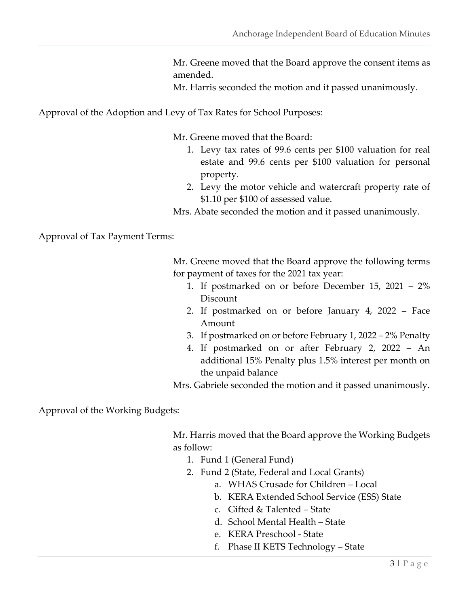Mr. Greene moved that the Board approve the consent items as amended.

Mr. Harris seconded the motion and it passed unanimously.

Approval of the Adoption and Levy of Tax Rates for School Purposes:

Mr. Greene moved that the Board:

- 1. Levy tax rates of 99.6 cents per \$100 valuation for real estate and 99.6 cents per \$100 valuation for personal property.
- 2. Levy the motor vehicle and watercraft property rate of \$1.10 per \$100 of assessed value.
- Mrs. Abate seconded the motion and it passed unanimously.

Approval of Tax Payment Terms:

Mr. Greene moved that the Board approve the following terms for payment of taxes for the 2021 tax year:

- 1. If postmarked on or before December 15, 2021 2% Discount
- 2. If postmarked on or before January 4, 2022 Face Amount
- 3. If postmarked on or before February 1, 2022 2% Penalty
- 4. If postmarked on or after February 2, 2022 An additional 15% Penalty plus 1.5% interest per month on the unpaid balance

Mrs. Gabriele seconded the motion and it passed unanimously.

Approval of the Working Budgets:

Mr. Harris moved that the Board approve the Working Budgets as follow:

- 1. Fund 1 (General Fund)
- 2. Fund 2 (State, Federal and Local Grants)
	- a. WHAS Crusade for Children Local
	- b. KERA Extended School Service (ESS) State
	- c. Gifted & Talented State
	- d. School Mental Health State
	- e. KERA Preschool State
	- f. Phase II KETS Technology State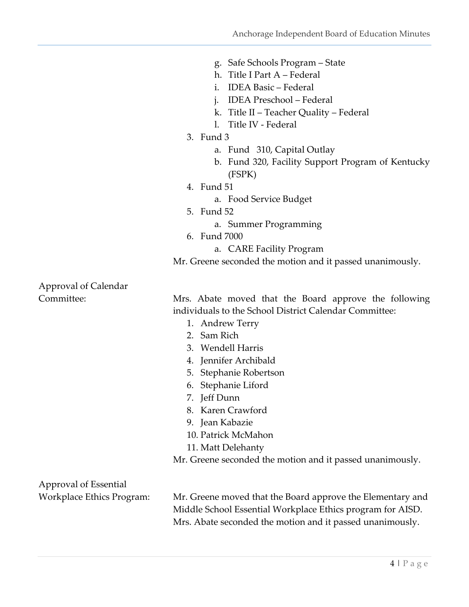- g. Safe Schools Program State
- h. Title I Part A Federal
- i. IDEA Basic Federal
- j. IDEA Preschool Federal
- k. Title II Teacher Quality Federal
- l. Title IV Federal
- 3. Fund 3
	- a. Fund 310, Capital Outlay
	- b. Fund 320, Facility Support Program of Kentucky (FSPK)
- 4. Fund 51
	- a. Food Service Budget
- 5. Fund 52
	- a. Summer Programming
- 6. Fund 7000
	- a. CARE Facility Program

Mr. Greene seconded the motion and it passed unanimously.

Approval of Calendar

Committee: Mrs. Abate moved that the Board approve the following individuals to the School District Calendar Committee:

- 1. Andrew Terry
- 2. Sam Rich
- 3. Wendell Harris
- 4. Jennifer Archibald
- 5. Stephanie Robertson
- 6. Stephanie Liford
- 7. Jeff Dunn
- 8. Karen Crawford
- 9. Jean Kabazie
- 10. Patrick McMahon
- 11. Matt Delehanty
- Mr. Greene seconded the motion and it passed unanimously.

Approval of Essential

Workplace Ethics Program: Mr. Greene moved that the Board approve the Elementary and Middle School Essential Workplace Ethics program for AISD. Mrs. Abate seconded the motion and it passed unanimously.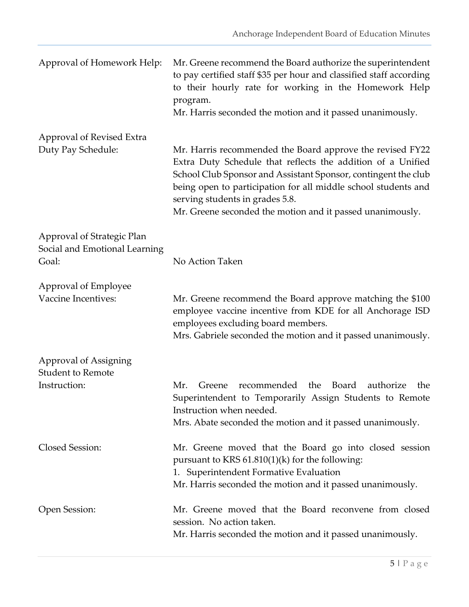| Approval of Homework Help:                                           | Mr. Greene recommend the Board authorize the superintendent<br>to pay certified staff \$35 per hour and classified staff according<br>to their hourly rate for working in the Homework Help<br>program.<br>Mr. Harris seconded the motion and it passed unanimously. |
|----------------------------------------------------------------------|----------------------------------------------------------------------------------------------------------------------------------------------------------------------------------------------------------------------------------------------------------------------|
| Approval of Revised Extra<br>Duty Pay Schedule:                      | Mr. Harris recommended the Board approve the revised FY22                                                                                                                                                                                                            |
|                                                                      | Extra Duty Schedule that reflects the addition of a Unified<br>School Club Sponsor and Assistant Sponsor, contingent the club<br>being open to participation for all middle school students and<br>serving students in grades 5.8.                                   |
|                                                                      | Mr. Greene seconded the motion and it passed unanimously.                                                                                                                                                                                                            |
| Approval of Strategic Plan<br>Social and Emotional Learning<br>Goal: | No Action Taken                                                                                                                                                                                                                                                      |
| Approval of Employee                                                 |                                                                                                                                                                                                                                                                      |
| Vaccine Incentives:                                                  | Mr. Greene recommend the Board approve matching the \$100<br>employee vaccine incentive from KDE for all Anchorage ISD<br>employees excluding board members.                                                                                                         |
|                                                                      | Mrs. Gabriele seconded the motion and it passed unanimously.                                                                                                                                                                                                         |
| Approval of Assigning<br><b>Student to Remote</b>                    |                                                                                                                                                                                                                                                                      |
| Instruction:                                                         | recommended the<br>Mr.<br>Board<br>authorize<br>Greene<br>the<br>Superintendent to Temporarily Assign Students to Remote<br>Instruction when needed.<br>Mrs. Abate seconded the motion and it passed unanimously.                                                    |
| Closed Session:                                                      | Mr. Greene moved that the Board go into closed session<br>pursuant to KRS $61.810(1)(k)$ for the following:<br>1. Superintendent Formative Evaluation<br>Mr. Harris seconded the motion and it passed unanimously.                                                   |
| Open Session:                                                        | Mr. Greene moved that the Board reconvene from closed<br>session. No action taken.<br>Mr. Harris seconded the motion and it passed unanimously.                                                                                                                      |